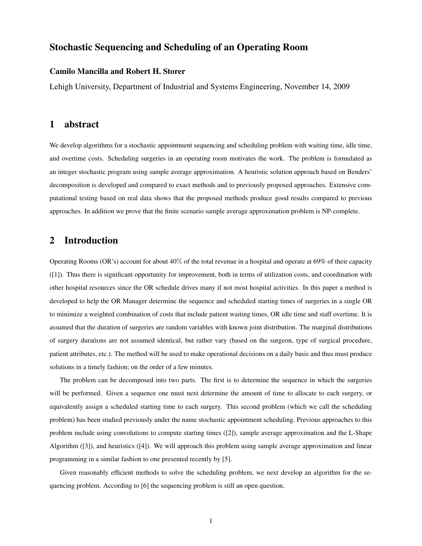# Stochastic Sequencing and Scheduling of an Operating Room

## Camilo Mancilla and Robert H. Storer

Lehigh University, Department of Industrial and Systems Engineering, November 14, 2009

# 1 abstract

We develop algorithms for a stochastic appointment sequencing and scheduling problem with waiting time, idle time, and overtime costs. Scheduling surgeries in an operating room motivates the work. The problem is formulated as an integer stochastic program using sample average approximation. A heuristic solution approach based on Benders' decomposition is developed and compared to exact methods and to previously proposed approaches. Extensive computational testing based on real data shows that the proposed methods produce good results compared to previous approaches. In addition we prove that the finite scenario sample average approximation problem is NP-complete.

# 2 Introduction

Operating Rooms (OR's) account for about 40% of the total revenue in a hospital and operate at 69% of their capacity ([1]). Thus there is significant opportunity for improvement, both in terms of utilization costs, and coordination with other hospital resources since the OR schedule drives many if not most hospital activities. In this paper a method is developed to help the OR Manager determine the sequence and scheduled starting times of surgeries in a single OR to minimize a weighted combination of costs that include patient waiting times, OR idle time and staff overtime. It is assumed that the duration of surgeries are random variables with known joint distribution. The marginal distributions of surgery durations are not assumed identical, but rather vary (based on the surgeon, type of surgical procedure, patient attributes, etc.). The method will be used to make operational decisions on a daily basis and thus must produce solutions in a timely fashion; on the order of a few minutes.

The problem can be decomposed into two parts. The first is to determine the sequence in which the surgeries will be performed. Given a sequence one must next determine the amount of time to allocate to each surgery, or equivalently assign a scheduled starting time to each surgery. This second problem (which we call the scheduling problem) has been studied previously under the name stochastic appointment scheduling. Previous approaches to this problem include using convolutions to compute starting times ([2]), sample average approximation and the L-Shape Algorithm ([3]), and heuristics ([4]). We will approach this problem using sample average approximation and linear programming in a similar fashion to one presented recently by [5].

Given reasonably efficient methods to solve the scheduling problem, we next develop an algorithm for the sequencing problem. According to [6] the sequencing problem is still an open question.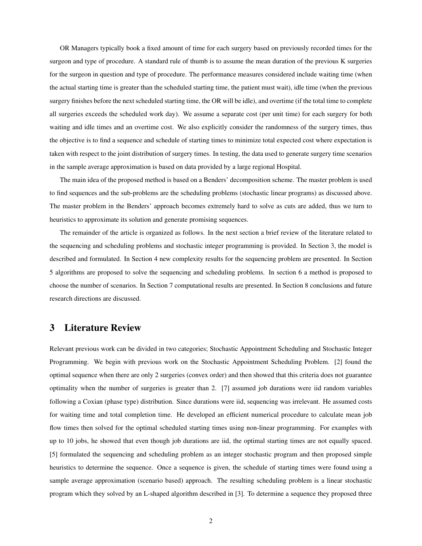OR Managers typically book a fixed amount of time for each surgery based on previously recorded times for the surgeon and type of procedure. A standard rule of thumb is to assume the mean duration of the previous K surgeries for the surgeon in question and type of procedure. The performance measures considered include waiting time (when the actual starting time is greater than the scheduled starting time, the patient must wait), idle time (when the previous surgery finishes before the next scheduled starting time, the OR will be idle), and overtime (if the total time to complete all surgeries exceeds the scheduled work day). We assume a separate cost (per unit time) for each surgery for both waiting and idle times and an overtime cost. We also explicitly consider the randomness of the surgery times, thus the objective is to find a sequence and schedule of starting times to minimize total expected cost where expectation is taken with respect to the joint distribution of surgery times. In testing, the data used to generate surgery time scenarios in the sample average approximation is based on data provided by a large regional Hospital.

The main idea of the proposed method is based on a Benders' decomposition scheme. The master problem is used to find sequences and the sub-problems are the scheduling problems (stochastic linear programs) as discussed above. The master problem in the Benders' approach becomes extremely hard to solve as cuts are added, thus we turn to heuristics to approximate its solution and generate promising sequences.

The remainder of the article is organized as follows. In the next section a brief review of the literature related to the sequencing and scheduling problems and stochastic integer programming is provided. In Section 3, the model is described and formulated. In Section 4 new complexity results for the sequencing problem are presented. In Section 5 algorithms are proposed to solve the sequencing and scheduling problems. In section 6 a method is proposed to choose the number of scenarios. In Section 7 computational results are presented. In Section 8 conclusions and future research directions are discussed.

# 3 Literature Review

Relevant previous work can be divided in two categories; Stochastic Appointment Scheduling and Stochastic Integer Programming. We begin with previous work on the Stochastic Appointment Scheduling Problem. [2] found the optimal sequence when there are only 2 surgeries (convex order) and then showed that this criteria does not guarantee optimality when the number of surgeries is greater than 2. [7] assumed job durations were iid random variables following a Coxian (phase type) distribution. Since durations were iid, sequencing was irrelevant. He assumed costs for waiting time and total completion time. He developed an efficient numerical procedure to calculate mean job flow times then solved for the optimal scheduled starting times using non-linear programming. For examples with up to 10 jobs, he showed that even though job durations are iid, the optimal starting times are not equally spaced. [5] formulated the sequencing and scheduling problem as an integer stochastic program and then proposed simple heuristics to determine the sequence. Once a sequence is given, the schedule of starting times were found using a sample average approximation (scenario based) approach. The resulting scheduling problem is a linear stochastic program which they solved by an L-shaped algorithm described in [3]. To determine a sequence they proposed three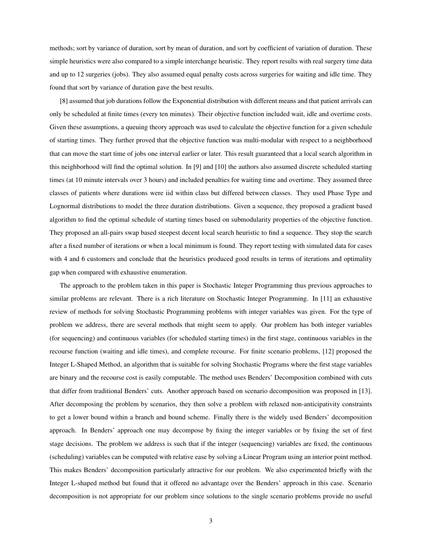methods; sort by variance of duration, sort by mean of duration, and sort by coefficient of variation of duration. These simple heuristics were also compared to a simple interchange heuristic. They report results with real surgery time data and up to 12 surgeries (jobs). They also assumed equal penalty costs across surgeries for waiting and idle time. They found that sort by variance of duration gave the best results.

[8] assumed that job durations follow the Exponential distribution with different means and that patient arrivals can only be scheduled at finite times (every ten minutes). Their objective function included wait, idle and overtime costs. Given these assumptions, a queuing theory approach was used to calculate the objective function for a given schedule of starting times. They further proved that the objective function was multi-modular with respect to a neighborhood that can move the start time of jobs one interval earlier or later. This result guaranteed that a local search algorithm in this neighborhood will find the optimal solution. In [9] and [10] the authors also assumed discrete scheduled starting times (at 10 minute intervals over 3 hours) and included penalties for waiting time and overtime. They assumed three classes of patients where durations were iid within class but differed between classes. They used Phase Type and Lognormal distributions to model the three duration distributions. Given a sequence, they proposed a gradient based algorithm to find the optimal schedule of starting times based on submodularity properties of the objective function. They proposed an all-pairs swap based steepest decent local search heuristic to find a sequence. They stop the search after a fixed number of iterations or when a local minimum is found. They report testing with simulated data for cases with 4 and 6 customers and conclude that the heuristics produced good results in terms of iterations and optimality gap when compared with exhaustive enumeration.

The approach to the problem taken in this paper is Stochastic Integer Programming thus previous approaches to similar problems are relevant. There is a rich literature on Stochastic Integer Programming. In [11] an exhaustive review of methods for solving Stochastic Programming problems with integer variables was given. For the type of problem we address, there are several methods that might seem to apply. Our problem has both integer variables (for sequencing) and continuous variables (for scheduled starting times) in the first stage, continuous variables in the recourse function (waiting and idle times), and complete recourse. For finite scenario problems, [12] proposed the Integer L-Shaped Method, an algorithm that is suitable for solving Stochastic Programs where the first stage variables are binary and the recourse cost is easily computable. The method uses Benders' Decomposition combined with cuts that differ from traditional Benders' cuts. Another approach based on scenario decomposition was proposed in [13]. After decomposing the problem by scenarios, they then solve a problem with relaxed non-anticipativity constraints to get a lower bound within a branch and bound scheme. Finally there is the widely used Benders' decomposition approach. In Benders' approach one may decompose by fixing the integer variables or by fixing the set of first stage decisions. The problem we address is such that if the integer (sequencing) variables are fixed, the continuous (scheduling) variables can be computed with relative ease by solving a Linear Program using an interior point method. This makes Benders' decomposition particularly attractive for our problem. We also experimented briefly with the Integer L-shaped method but found that it offered no advantage over the Benders' approach in this case. Scenario decomposition is not appropriate for our problem since solutions to the single scenario problems provide no useful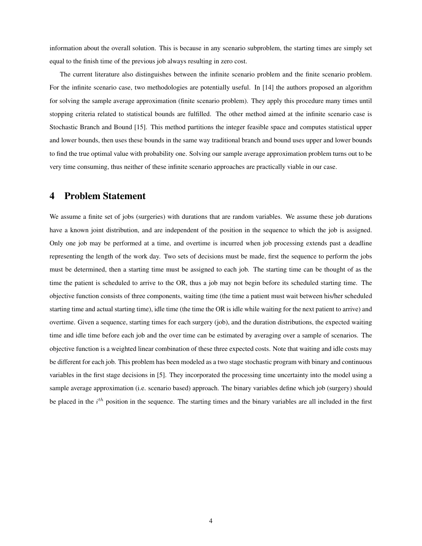information about the overall solution. This is because in any scenario subproblem, the starting times are simply set equal to the finish time of the previous job always resulting in zero cost.

The current literature also distinguishes between the infinite scenario problem and the finite scenario problem. For the infinite scenario case, two methodologies are potentially useful. In [14] the authors proposed an algorithm for solving the sample average approximation (finite scenario problem). They apply this procedure many times until stopping criteria related to statistical bounds are fulfilled. The other method aimed at the infinite scenario case is Stochastic Branch and Bound [15]. This method partitions the integer feasible space and computes statistical upper and lower bounds, then uses these bounds in the same way traditional branch and bound uses upper and lower bounds to find the true optimal value with probability one. Solving our sample average approximation problem turns out to be very time consuming, thus neither of these infinite scenario approaches are practically viable in our case.

# 4 Problem Statement

We assume a finite set of jobs (surgeries) with durations that are random variables. We assume these job durations have a known joint distribution, and are independent of the position in the sequence to which the job is assigned. Only one job may be performed at a time, and overtime is incurred when job processing extends past a deadline representing the length of the work day. Two sets of decisions must be made, first the sequence to perform the jobs must be determined, then a starting time must be assigned to each job. The starting time can be thought of as the time the patient is scheduled to arrive to the OR, thus a job may not begin before its scheduled starting time. The objective function consists of three components, waiting time (the time a patient must wait between his/her scheduled starting time and actual starting time), idle time (the time the OR is idle while waiting for the next patient to arrive) and overtime. Given a sequence, starting times for each surgery (job), and the duration distributions, the expected waiting time and idle time before each job and the over time can be estimated by averaging over a sample of scenarios. The objective function is a weighted linear combination of these three expected costs. Note that waiting and idle costs may be different for each job. This problem has been modeled as a two stage stochastic program with binary and continuous variables in the first stage decisions in [5]. They incorporated the processing time uncertainty into the model using a sample average approximation (i.e. scenario based) approach. The binary variables define which job (surgery) should be placed in the  $i<sup>th</sup>$  position in the sequence. The starting times and the binary variables are all included in the first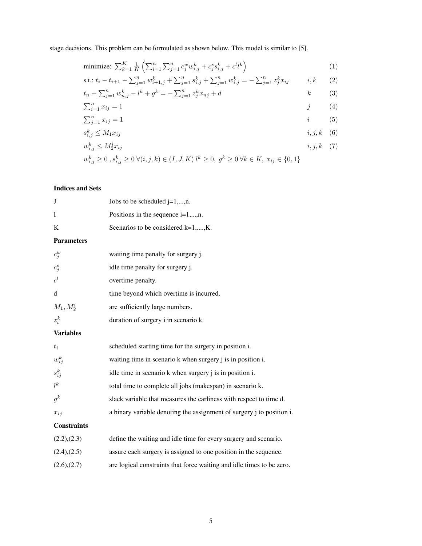stage decisions. This problem can be formulated as shown below. This model is similar to [5].

minimize: 
$$
\sum_{k=1}^{K} \frac{1}{K} \left( \sum_{i=1}^{n} \sum_{j=1}^{n} c_j^w w_{i,j}^k + c_j^s s_{i,j}^k + c^l l^k \right)
$$
 (1)

s.t.: 
$$
t_i - t_{i+1} - \sum_{j=1}^n w_{i+1,j}^k + \sum_{j=1}^n s_{i,j}^k + \sum_{j=1}^n w_{i,j}^k = -\sum_{j=1}^n z_j^k x_{ij}
$$
 *i, k* (2)

$$
t_n + \sum_{j=1}^n w_{n,j}^k - l^k + g^k = -\sum_{j=1}^n z_j^k x_{nj} + d
$$
  

$$
\sum_{i=1}^n x_{ij} = 1
$$
  
(4)

$$
\sum_{j=1}^{n} x_{ij} = 1
$$
 (5)

$$
s_{i,j}^k \le M_1 x_{ij} \qquad \qquad i, j, k \quad (6)
$$

$$
w_{i,j}^k \le M_2^i x_{ij} \qquad \qquad i, j, k \quad (7)
$$

$$
w_{i,j}^k \ge 0, s_{i,j}^k \ge 0 \ \forall (i, j, k) \in (I, J, K) \ l^k \ge 0, \ g^k \ge 0 \ \forall k \in K, \ x_{ij} \in \{0, 1\}
$$

## Indices and Sets

| J                  | Jobs to be scheduled $j=1,,n$ .                                       |
|--------------------|-----------------------------------------------------------------------|
| I                  | Positions in the sequence $i=1,,n$ .                                  |
| K                  | Scenarios to be considered k=1,,K.                                    |
| <b>Parameters</b>  |                                                                       |
| $c_j^w$            | waiting time penalty for surgery j.                                   |
| $c_j^s$            | idle time penalty for surgery j.                                      |
| $c^l$              | overtime penalty.                                                     |
| d                  | time beyond which overtime is incurred.                               |
| $M_1, M_2^i$       | are sufficiently large numbers.                                       |
| $z_i^k$            | duration of surgery i in scenario k.                                  |
| <b>Variables</b>   |                                                                       |
| $t_i$              | scheduled starting time for the surgery in position i.                |
| $w_{ij}^k$         | waiting time in scenario k when surgery j is in position i.           |
| $s_{ij}^k$         | idle time in scenario k when surgery j is in position i.              |
| $l^k$              | total time to complete all jobs (makespan) in scenario k.             |
| $g^k$              | slack variable that measures the earliness with respect to time d.    |
| $x_{ij}$           | a binary variable denoting the assignment of surgery j to position i. |
| <b>Constraints</b> |                                                                       |
| (2.2),(2.3)        | define the waiting and idle time for every surgery and scenario.      |
| $(2.4)$ , $(2.5)$  | assure each surgery is assigned to one position in the sequence.      |
| (2.6),(2.7)        | are logical constraints that force waiting and idle times to be zero. |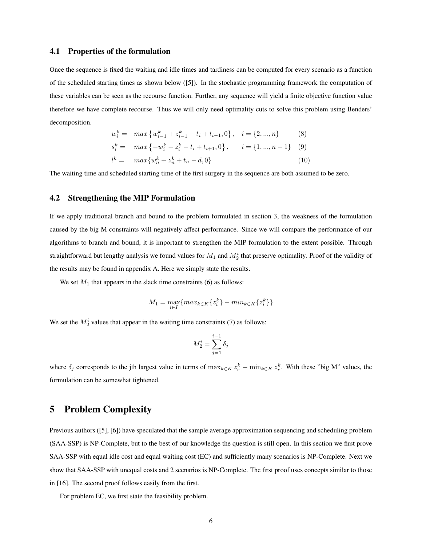## 4.1 Properties of the formulation

Once the sequence is fixed the waiting and idle times and tardiness can be computed for every scenario as a function of the scheduled starting times as shown below ([5]). In the stochastic programming framework the computation of these variables can be seen as the recourse function. Further, any sequence will yield a finite objective function value therefore we have complete recourse. Thus we will only need optimality cuts to solve this problem using Benders' decomposition.

$$
w_i^k = \max \{ w_{i-1}^k + z_{i-1}^k - t_i + t_{i-1}, 0 \}, \quad i = \{ 2, ..., n \}
$$
(8)  
\n
$$
s_i^k = \max \{ -w_i^k - z_i^k - t_i + t_{i+1}, 0 \}, \quad i = \{ 1, ..., n-1 \}
$$
(9)  
\n
$$
l^k = \max \{ w_n^k + z_n^k + t_n - d, 0 \}
$$
(10)

The waiting time and scheduled starting time of the first surgery in the sequence are both assumed to be zero.

## 4.2 Strengthening the MIP Formulation

If we apply traditional branch and bound to the problem formulated in section 3, the weakness of the formulation caused by the big M constraints will negatively affect performance. Since we will compare the performance of our algorithms to branch and bound, it is important to strengthen the MIP formulation to the extent possible. Through straightforward but lengthy analysis we found values for  $M_1$  and  $M_2^i$  that preserve optimality. Proof of the validity of the results may be found in appendix A. Here we simply state the results.

We set  $M_1$  that appears in the slack time constraints (6) as follows:

$$
M_1 = \max_{i \in I} \{ \max_{k \in K} \{ z_i^k \} - \min_{k \in K} \{ z_i^k \} \}
$$

We set the  $M_2^i$  values that appear in the waiting time constraints (7) as follows:

$$
M_2^i = \sum_{j=1}^{i-1} \delta_j
$$

where  $\delta_j$  corresponds to the jth largest value in terms of  $\max_{k \in K} z_r^k - \min_{k \in K} z_r^k$ . With these "big M" values, the formulation can be somewhat tightened.

# 5 Problem Complexity

Previous authors ([5], [6]) have speculated that the sample average approximation sequencing and scheduling problem (SAA-SSP) is NP-Complete, but to the best of our knowledge the question is still open. In this section we first prove SAA-SSP with equal idle cost and equal waiting cost (EC) and sufficiently many scenarios is NP-Complete. Next we show that SAA-SSP with unequal costs and 2 scenarios is NP-Complete. The first proof uses concepts similar to those in [16]. The second proof follows easily from the first.

For problem EC, we first state the feasibility problem.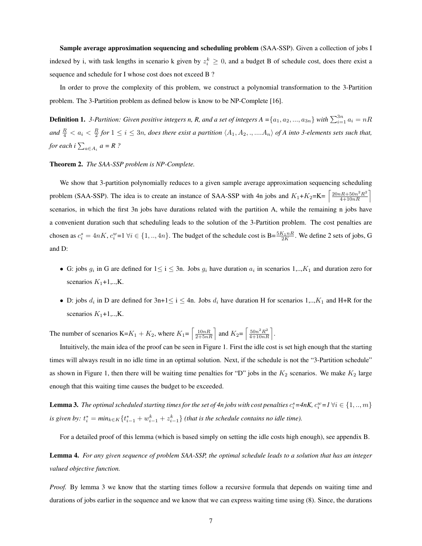Sample average approximation sequencing and scheduling problem (SAA-SSP). Given a collection of jobs I indexed by i, with task lengths in scenario k given by  $z_i^k \geq 0$ , and a budget B of schedule cost, does there exist a sequence and schedule for I whose cost does not exceed B ?

In order to prove the complexity of this problem, we construct a polynomial transformation to the 3-Partition problem. The 3-Partition problem as defined below is know to be NP-Complete [16].

**Definition 1.** 3-Partition: Given positive integers n, R, and a set of integers  $A = \{a_1, a_2, ..., a_{3n}\}$  with  $\sum_{i=1}^{3n} a_i = nR$ and  $\frac{R}{4} < a_i < \frac{R}{2}$  for  $1 \le i \le 3n$ , does there exist a partition  $\langle A_1, A_2, \dots, A_n \rangle$  of A into 3-elements sets such that, *for each i*  $\sum_{a \in A_i} a = R$  ?

#### Theorem 2. *The SAA-SSP problem is NP-Complete.*

We show that 3-partition polynomially reduces to a given sample average approximation sequencing scheduling problem (SAA-SSP). The idea is to create an instance of SAA-SSP with 4n jobs and  $K_1+K_2=K = \left\lceil \frac{20nR+50n^2R^2}{4+10nR} \right\rceil$ scenarios, in which the first 3n jobs have durations related with the partition A, while the remaining n jobs have a convenient duration such that scheduling leads to the solution of the 3-Partition problem. The cost penalties are chosen as  $c_i^s = 4nK$ ,  $c_i^w=1$   $\forall i \in \{1, ..., 4n\}$ . The budget of the schedule cost is  $B = \frac{5K_1nR}{2K}$ . We define 2 sets of jobs, G and D:

- G: jobs  $g_i$  in G are defined for  $1 \le i \le 3n$ . Jobs  $g_i$  have duration  $a_i$  in scenarios 1,.., $K_1$  and duration zero for scenarios  $K_1+1,...,K$ .
- D: jobs  $d_i$  in D are defined for  $3n+1 \le i \le 4n$ . Jobs  $d_i$  have duration H for scenarios  $1,..,K_1$  and H+R for the scenarios  $K_1+1,..,K$ .

The number of scenarios K= $K_1 + K_2$ , where  $K_1 = \left[\frac{10nR}{2+5nR}\right]$  and  $K_2 = \left[\frac{50n^2R^2}{4+10nR}\right]$ .

Intuitively, the main idea of the proof can be seen in Figure 1. First the idle cost is set high enough that the starting times will always result in no idle time in an optimal solution. Next, if the schedule is not the "3-Partition schedule" as shown in Figure 1, then there will be waiting time penalties for "D" jobs in the  $K_2$  scenarios. We make  $K_2$  large enough that this waiting time causes the budget to be exceeded.

**Lemma 3.** The optimal scheduled starting times for the set of 4n jobs with cost penalties  $c_i^s = 4nK$ ,  $c_i^w = I \ \forall i \in \{1, ..., m\}$ *is given by:*  $t_i^* = min_{k \in K} \{ t_{i-1}^* + w_{i-1}^k + z_{i-1}^k \}$  *(that is the schedule contains no idle time).* 

For a detailed proof of this lemma (which is based simply on setting the idle costs high enough), see appendix B.

Lemma 4. *For any given sequence of problem SAA-SSP, the optimal schedule leads to a solution that has an integer valued objective function.*

*Proof.* By lemma 3 we know that the starting times follow a recursive formula that depends on waiting time and durations of jobs earlier in the sequence and we know that we can express waiting time using (8). Since, the durations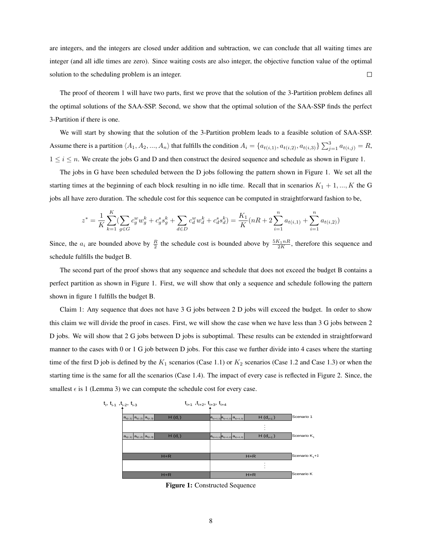are integers, and the integers are closed under addition and subtraction, we can conclude that all waiting times are integer (and all idle times are zero). Since waiting costs are also integer, the objective function value of the optimal solution to the scheduling problem is an integer.  $\Box$ 

The proof of theorem 1 will have two parts, first we prove that the solution of the 3-Partition problem defines all the optimal solutions of the SAA-SSP. Second, we show that the optimal solution of the SAA-SSP finds the perfect 3-Partition if there is one.

We will start by showing that the solution of the 3-Partition problem leads to a feasible solution of SAA-SSP. Assume there is a partition  $\langle A_1, A_2, ..., A_n \rangle$  that fulfills the condition  $A_i = \{a_{t(i,1)}, a_{t(i,2)}, a_{t(i,3)}\}\sum_{j=1}^3 a_{t(i,j)} = R$ ,  $1 \leq i \leq n$ . We create the jobs G and D and then construct the desired sequence and schedule as shown in Figure 1.

The jobs in G have been scheduled between the D jobs following the pattern shown in Figure 1. We set all the starting times at the beginning of each block resulting in no idle time. Recall that in scenarios  $K_1 + 1, ..., K$  the G jobs all have zero duration. The schedule cost for this sequence can be computed in straightforward fashion to be,

$$
z^* = \frac{1}{K} \sum_{k=1}^K \left( \sum_{g \in G} c_g^w w_g^k + c_g^s s_g^k + \sum_{d \in D} c_d^w w_d^k + c_d^s s_d^k \right) = \frac{K_1}{K} (nR + 2 \sum_{i=1}^n a_{t(i,1)} + \sum_{i=1}^n a_{t(i,2)})
$$

Since, the  $a_i$  are bounded above by  $\frac{R}{2}$  the schedule cost is bounded above by  $\frac{5K_1nR}{2K}$ , therefore this sequence and schedule fulfills the budget B.

The second part of the proof shows that any sequence and schedule that does not exceed the budget B contains a perfect partition as shown in Figure 1. First, we will show that only a sequence and schedule following the pattern shown in figure 1 fulfills the budget B.

Claim 1: Any sequence that does not have 3 G jobs between 2 D jobs will exceed the budget. In order to show this claim we will divide the proof in cases. First, we will show the case when we have less than 3 G jobs between 2 D jobs. We will show that 2 G jobs between D jobs is suboptimal. These results can be extended in straightforward manner to the cases with 0 or 1 G job between D jobs. For this case we further divide into 4 cases where the starting time of the first D job is defined by the  $K_1$  scenarios (Case 1.1) or  $K_2$  scenarios (Case 1.2 and Case 1.3) or when the starting time is the same for all the scenarios (Case 1.4). The impact of every case is reflected in Figure 2. Since, the smallest  $\epsilon$  is 1 (Lemma 3) we can compute the schedule cost for every case.



Figure 1: Constructed Sequence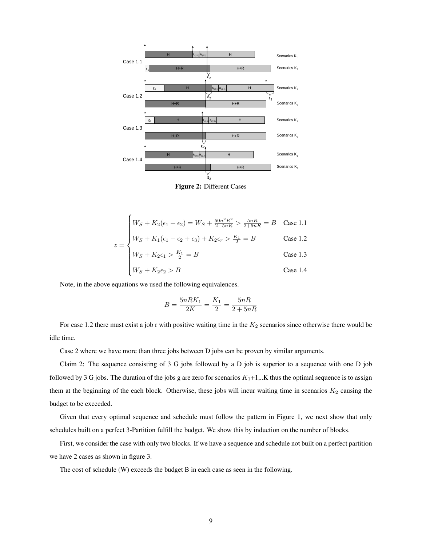

Figure 2: Different Cases

$$
\begin{cases}\nW_S + K_2(\epsilon_1 + \epsilon_2) = W_S + \frac{50n^2R^2}{2+5nR} > \frac{5nR}{2+5nR} = B & \text{Case 1.1} \\
W_S + K_1(\epsilon_1 + \epsilon_2 + \epsilon_3) + K_2\epsilon_r > \frac{K_1}{2} = B & \text{Case 1.2}\n\end{cases}
$$

$$
\begin{cases} W_S + K_2 \epsilon_1 > \frac{K_1}{2} = B \end{cases}
$$
 Case 1.3

$$
\begin{cases}\nW_S + K_2 \epsilon_1 > \frac{K_1}{2} = B \\
W_S + K_2 \epsilon_2 > B\n\end{cases}
$$
\nCase 1.3

\nCase 1.4

Note, in the above equations we used the following equivalences.

 $z =$ 

$$
B = \frac{5nRK_1}{2K} = \frac{K_1}{2} = \frac{5nR}{2 + 5nR}
$$

For case 1.2 there must exist a job r with positive waiting time in the  $K_2$  scenarios since otherwise there would be idle time.

Case 2 where we have more than three jobs between D jobs can be proven by similar arguments.

Claim 2: The sequence consisting of 3 G jobs followed by a D job is superior to a sequence with one D job followed by 3 G jobs. The duration of the jobs g are zero for scenarios  $K_1+1, K$  thus the optimal sequence is to assign them at the beginning of the each block. Otherwise, these jobs will incur waiting time in scenarios  $K_2$  causing the budget to be exceeded.

Given that every optimal sequence and schedule must follow the pattern in Figure 1, we next show that only schedules built on a perfect 3-Partition fulfill the budget. We show this by induction on the number of blocks.

First, we consider the case with only two blocks. If we have a sequence and schedule not built on a perfect partition we have 2 cases as shown in figure 3.

The cost of schedule (W) exceeds the budget B in each case as seen in the following.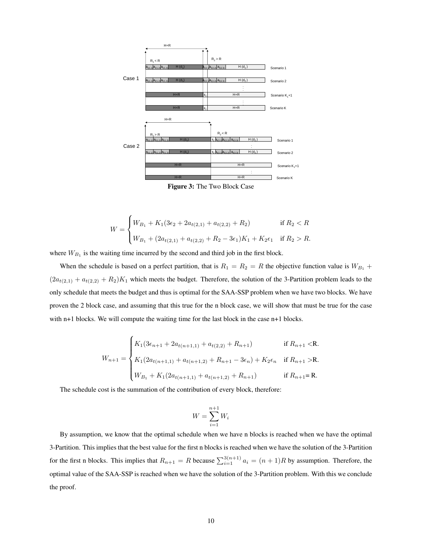

Figure 3: The Two Block Case

$$
W = \begin{cases} W_{B_1} + K_1(3\epsilon_2 + 2a_{t(2,1)} + a_{t(2,2)} + R_2) & \text{if } R_2 < R \\ W_{B_1} + (2a_{t(2,1)} + a_{t(2,2)} + R_2 - 3\epsilon_1)K_1 + K_2\epsilon_1 & \text{if } R_2 > R. \end{cases}
$$

where  $W_{B_1}$  is the waiting time incurred by the second and third job in the first block.

When the schedule is based on a perfect partition, that is  $R_1 = R_2 = R$  the objective function value is  $W_{B_1}$  +  $(2a_{t(2,1)} + a_{t(2,2)} + R_2)K_1$  which meets the budget. Therefore, the solution of the 3-Partition problem leads to the only schedule that meets the budget and thus is optimal for the SAA-SSP problem when we have two blocks. We have proven the 2 block case, and assuming that this true for the n block case, we will show that must be true for the case with n+1 blocks. We will compute the waiting time for the last block in the case n+1 blocks.

$$
W_{n+1} = \begin{cases} K_1(3\epsilon_{n+1} + 2a_{t(n+1,1)} + a_{t(2,2)} + R_{n+1}) & \text{if } R_{n+1} < \mathbf{R}.\\ K_1(2a_{t(n+1,1)} + a_{t(n+1,2)} + R_{n+1} - 3\epsilon_n) + K_2\epsilon_n & \text{if } R_{n+1} > \mathbf{R}.\\ W_{B_1} + K_1(2a_{t(n+1,1)} + a_{t(n+1,2)} + R_{n+1}) & \text{if } R_{n+1} = \mathbf{R}. \end{cases}
$$

The schedule cost is the summation of the contribution of every block, therefore:

$$
W = \sum_{i=1}^{n+1} W_i
$$

By assumption, we know that the optimal schedule when we have n blocks is reached when we have the optimal 3-Partition. This implies that the best value for the first n blocks is reached when we have the solution of the 3-Partition for the first n blocks. This implies that  $R_{n+1} = R$  because  $\sum_{i=1}^{3(n+1)} a_i = (n+1)R$  by assumption. Therefore, the optimal value of the SAA-SSP is reached when we have the solution of the 3-Partition problem. With this we conclude the proof.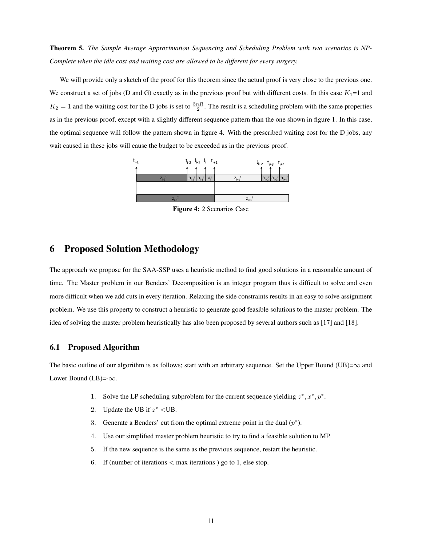Theorem 5. *The Sample Average Approximation Sequencing and Scheduling Problem with two scenarios is NP-Complete when the idle cost and waiting cost are allowed to be different for every surgery.*

We will provide only a sketch of the proof for this theorem since the actual proof is very close to the previous one. We construct a set of jobs (D and G) exactly as in the previous proof but with different costs. In this case  $K_1=1$  and  $K_2 = 1$  and the waiting cost for the D jobs is set to  $\frac{5nR}{2}$ . The result is a scheduling problem with the same properties as in the previous proof, except with a slightly different sequence pattern than the one shown in figure 1. In this case, the optimal sequence will follow the pattern shown in figure 4. With the prescribed waiting cost for the D jobs, any wait caused in these jobs will cause the budget to be exceeded as in the previous proof.



Figure 4: 2 Scenarios Case

# 6 Proposed Solution Methodology

The approach we propose for the SAA-SSP uses a heuristic method to find good solutions in a reasonable amount of time. The Master problem in our Benders' Decomposition is an integer program thus is difficult to solve and even more difficult when we add cuts in every iteration. Relaxing the side constraints results in an easy to solve assignment problem. We use this property to construct a heuristic to generate good feasible solutions to the master problem. The idea of solving the master problem heuristically has also been proposed by several authors such as [17] and [18].

## 6.1 Proposed Algorithm

The basic outline of our algorithm is as follows; start with an arbitrary sequence. Set the Upper Bound (UB)= $\infty$  and Lower Bound (LB)=- $\infty$ .

- 1. Solve the LP scheduling subproblem for the current sequence yielding  $z^*, x^*, p^*$ .
- 2. Update the UB if  $z^*$  <UB.
- 3. Generate a Benders' cut from the optimal extreme point in the dual  $(p^*)$ .
- 4. Use our simplified master problem heuristic to try to find a feasible solution to MP.
- 5. If the new sequence is the same as the previous sequence, restart the heuristic.
- 6. If (number of iterations  $<$  max iterations ) go to 1, else stop.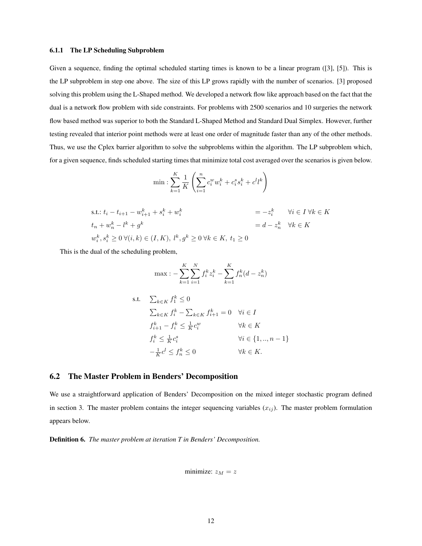#### 6.1.1 The LP Scheduling Subproblem

Given a sequence, finding the optimal scheduled starting times is known to be a linear program ([3], [5]). This is the LP subproblem in step one above. The size of this LP grows rapidly with the number of scenarios. [3] proposed solving this problem using the L-Shaped method. We developed a network flow like approach based on the fact that the dual is a network flow problem with side constraints. For problems with 2500 scenarios and 10 surgeries the network flow based method was superior to both the Standard L-Shaped Method and Standard Dual Simplex. However, further testing revealed that interior point methods were at least one order of magnitude faster than any of the other methods. Thus, we use the Cplex barrier algorithm to solve the subproblems within the algorithm. The LP subproblem which, for a given sequence, finds scheduled starting times that minimize total cost averaged over the scenarios is given below.

min: 
$$
\sum_{k=1}^{K} \frac{1}{K} \left( \sum_{i=1}^{n} c_i^w w_i^k + c_i^s s_i^k + c^l l^k \right)
$$

s.t.: 
$$
t_i - t_{i+1} - w_{i+1}^k + s_i^k + w_i^k = -z_i^k \quad \forall i \in I \forall k \in K
$$
  
\n
$$
t_n + w_n^k - l^k + g^k = d - z_n^k \quad \forall k \in K
$$
  
\n
$$
w_i^k, s_i^k \ge 0 \forall (i, k) \in (I, K), l^k, g^k \ge 0 \forall k \in K, t_1 \ge 0
$$

This is the dual of the scheduling problem,

$$
\max: -\sum_{k=1}^{K} \sum_{i=1}^{N} f_i^k z_i^k - \sum_{k=1}^{K} f_n^k (d - z_n^k)
$$

s.t. 
$$
\sum_{k \in K} f_1^k \le 0
$$

$$
\sum_{k \in K} f_i^k - \sum_{k \in K} f_{i+1}^k = 0 \quad \forall i \in I
$$

$$
f_{i+1}^k - f_i^k \le \frac{1}{K} c_i^w \qquad \forall k \in K
$$

$$
f_i^k \le \frac{1}{K} c_i^s \qquad \forall i \in \{1, ..., n-1\}
$$

$$
-\frac{1}{K} c^l \le f_n^k \le 0 \qquad \forall k \in K.
$$

## 6.2 The Master Problem in Benders' Decomposition

We use a straightforward application of Benders' Decomposition on the mixed integer stochastic program defined in section 3. The master problem contains the integer sequencing variables  $(x_{ij})$ . The master problem formulation appears below.

Definition 6. *The master problem at iteration T in Benders' Decomposition.*

$$
minimize: z_M = z
$$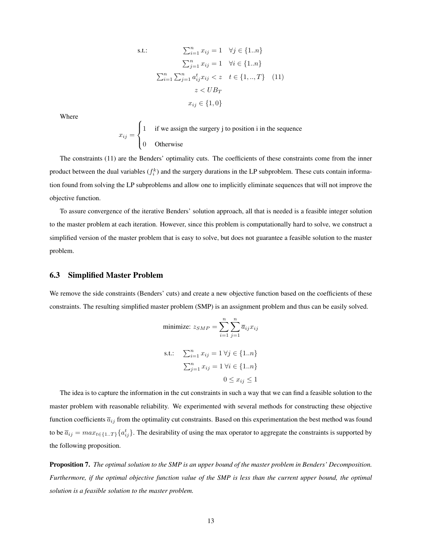s.t.: 
$$
\sum_{i=1}^{n} x_{ij} = 1 \quad \forall j \in \{1..n\}
$$

$$
\sum_{j=1}^{n} x_{ij} = 1 \quad \forall i \in \{1..n\}
$$

$$
\sum_{i=1}^{n} \sum_{j=1}^{n} a_{ij}^{t} x_{ij} < z \quad t \in \{1,..,T\} \quad (11)
$$

$$
z < UB_T
$$

$$
x_{ij} \in \{1,0\}
$$

Where

$$
x_{ij} = \begin{cases} 1 & \text{if we assign the surgery j to position i in the sequence} \\ 0 & \text{Otherwise} \end{cases}
$$

The constraints (11) are the Benders' optimality cuts. The coefficients of these constraints come from the inner product between the dual variables  $(f_i^k)$  and the surgery durations in the LP subproblem. These cuts contain information found from solving the LP subproblems and allow one to implicitly eliminate sequences that will not improve the objective function.

To assure convergence of the iterative Benders' solution approach, all that is needed is a feasible integer solution to the master problem at each iteration. However, since this problem is computationally hard to solve, we construct a simplified version of the master problem that is easy to solve, but does not guarantee a feasible solution to the master problem.

## 6.3 Simplified Master Problem

We remove the side constraints (Benders' cuts) and create a new objective function based on the coefficients of these constraints. The resulting simplified master problem (SMP) is an assignment problem and thus can be easily solved.

minimize: 
$$
z_{SMP} = \sum_{i=1}^{n} \sum_{j=1}^{n} \overline{a}_{ij} x_{ij}
$$
  
s.t.:  $\sum_{i=1}^{n} x_{ij} = 1 \forall j \in \{1..n\}$   
 $\sum_{j=1}^{n} x_{ij} = 1 \forall i \in \{1..n\}$   
 $0 \le x_{ij} \le 1$ 

The idea is to capture the information in the cut constraints in such a way that we can find a feasible solution to the master problem with reasonable reliability. We experimented with several methods for constructing these objective function coefficients  $\overline{a}_{ij}$  from the optimality cut constraints. Based on this experimentation the best method was found to be  $\bar{a}_{ij} = max_{t \in \{1..T\}} \{a_{ij}^t\}$ . The desirability of using the max operator to aggregate the constraints is supported by the following proposition.

Proposition 7. *The optimal solution to the SMP is an upper bound of the master problem in Benders' Decomposition. Furthermore, if the optimal objective function value of the SMP is less than the current upper bound, the optimal solution is a feasible solution to the master problem.*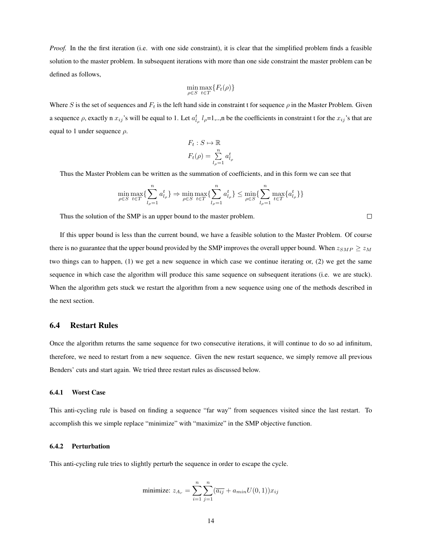*Proof.* In the the first iteration (i.e. with one side constraint), it is clear that the simplified problem finds a feasible solution to the master problem. In subsequent iterations with more than one side constraint the master problem can be defined as follows,

$$
\min_{\rho \in S} \max_{t \in T} \{ F_t(\rho) \}
$$

Where S is the set of sequences and  $F_t$  is the left hand side in constraint t for sequence  $\rho$  in the Master Problem. Given a sequence  $\rho$ , exactly n  $x_{ij}$ 's will be equal to 1. Let  $a_{l_\rho}^t l_\rho = 1,...$ , be the coefficients in constraint t for the  $x_{ij}$ 's that are equal to 1 under sequence  $\rho$ .

$$
F_t: S \mapsto \mathbb{R}
$$

$$
F_t(\rho) = \sum_{l_\rho=1}^n a_{l_\rho}^t
$$

Thus the Master Problem can be written as the summation of coefficients, and in this form we can see that

$$
\min_{\rho \in S} \max_{t \in T} \{ \sum_{l_{\rho}=1}^{n} a_{l_{\rho}}^{t} \} \Rightarrow \min_{\rho \in S} \max_{t \in T} \{ \sum_{l_{\rho}=1}^{n} a_{l_{\rho}}^{t} \} \le \min_{\rho \in S} \{ \sum_{l_{\rho}=1}^{n} \max_{t \in T} \{ a_{l_{\rho}}^{t} \} \}
$$

Thus the solution of the SMP is an upper bound to the master problem.

If this upper bound is less than the current bound, we have a feasible solution to the Master Problem. Of course there is no guarantee that the upper bound provided by the SMP improves the overall upper bound. When  $z_{SMP} \ge z_M$ two things can to happen, (1) we get a new sequence in which case we continue iterating or, (2) we get the same sequence in which case the algorithm will produce this same sequence on subsequent iterations (i.e. we are stuck). When the algorithm gets stuck we restart the algorithm from a new sequence using one of the methods described in the next section.

## 6.4 Restart Rules

Once the algorithm returns the same sequence for two consecutive iterations, it will continue to do so ad infinitum, therefore, we need to restart from a new sequence. Given the new restart sequence, we simply remove all previous Benders' cuts and start again. We tried three restart rules as discussed below.

#### 6.4.1 Worst Case

This anti-cycling rule is based on finding a sequence "far way" from sequences visited since the last restart. To accomplish this we simple replace "minimize" with "maximize" in the SMP objective function.

### 6.4.2 Perturbation

This anti-cycling rule tries to slightly perturb the sequence in order to escape the cycle.

minimize: 
$$
z_{A_r} = \sum_{i=1}^{n} \sum_{j=1}^{n} (\overline{a_{ij}} + a_{min}U(0, 1))x_{ij}
$$

 $\Box$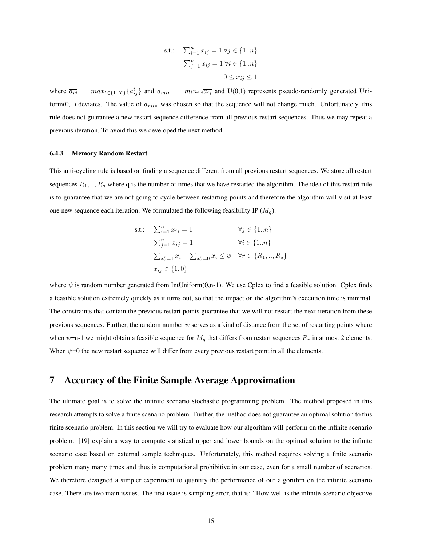s.t.: 
$$
\sum_{i=1}^{n} x_{ij} = 1 \,\forall j \in \{1..n\}
$$

$$
\sum_{j=1}^{n} x_{ij} = 1 \,\forall i \in \{1..n\}
$$

$$
0 \le x_{ij} \le 1
$$

where  $\overline{a_{ij}} = max_{t \in \{1..T\}} \{a_{ij}^t\}$  and  $a_{min} = min_{i,j} \overline{a_{ij}}$  and U(0,1) represents pseudo-randomly generated Uniform(0,1) deviates. The value of  $a_{min}$  was chosen so that the sequence will not change much. Unfortunately, this rule does not guarantee a new restart sequence difference from all previous restart sequences. Thus we may repeat a previous iteration. To avoid this we developed the next method.

#### 6.4.3 Memory Random Restart

This anti-cycling rule is based on finding a sequence different from all previous restart sequences. We store all restart sequences  $R_1, ..., R_q$  where q is the number of times that we have restarted the algorithm. The idea of this restart rule is to guarantee that we are not going to cycle between restarting points and therefore the algorithm will visit at least one new sequence each iteration. We formulated the following feasibility IP  $(M<sub>a</sub>)$ .

s.t.: 
$$
\sum_{i=1}^{n} x_{ij} = 1 \qquad \forall j \in \{1..n\}
$$

$$
\sum_{j=1}^{n} x_{ij} = 1 \qquad \forall i \in \{1..n\}
$$

$$
\sum_{x_i^r=1}^{n} x_i - \sum_{x_i^r=0}^{n} x_i \le \psi \quad \forall r \in \{R_1,..,R_q\}
$$

$$
x_{ij} \in \{1,0\}
$$

where  $\psi$  is random number generated from IntUniform(0,n-1). We use Cplex to find a feasible solution. Cplex finds a feasible solution extremely quickly as it turns out, so that the impact on the algorithm's execution time is minimal. The constraints that contain the previous restart points guarantee that we will not restart the next iteration from these previous sequences. Further, the random number  $\psi$  serves as a kind of distance from the set of restarting points where when  $\psi$ =n-1 we might obtain a feasible sequence for  $M_q$  that differs from restart sequences  $R_r$  in at most 2 elements. When  $\psi$ =0 the new restart sequence will differ from every previous restart point in all the elements.

# 7 Accuracy of the Finite Sample Average Approximation

The ultimate goal is to solve the infinite scenario stochastic programming problem. The method proposed in this research attempts to solve a finite scenario problem. Further, the method does not guarantee an optimal solution to this finite scenario problem. In this section we will try to evaluate how our algorithm will perform on the infinite scenario problem. [19] explain a way to compute statistical upper and lower bounds on the optimal solution to the infinite scenario case based on external sample techniques. Unfortunately, this method requires solving a finite scenario problem many many times and thus is computational prohibitive in our case, even for a small number of scenarios. We therefore designed a simpler experiment to quantify the performance of our algorithm on the infinite scenario case. There are two main issues. The first issue is sampling error, that is: "How well is the infinite scenario objective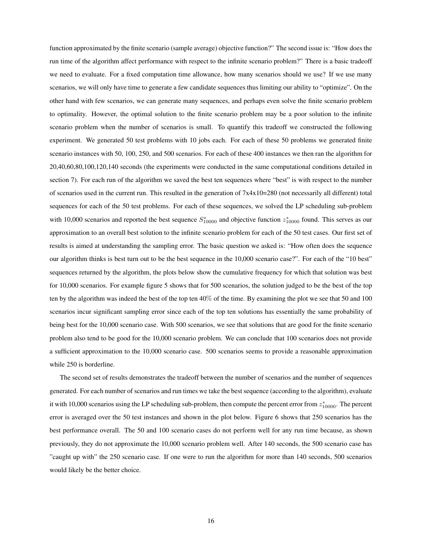function approximated by the finite scenario (sample average) objective function?" The second issue is: "How does the run time of the algorithm affect performance with respect to the infinite scenario problem?" There is a basic tradeoff we need to evaluate. For a fixed computation time allowance, how many scenarios should we use? If we use many scenarios, we will only have time to generate a few candidate sequences thus limiting our ability to "optimize". On the other hand with few scenarios, we can generate many sequences, and perhaps even solve the finite scenario problem to optimality. However, the optimal solution to the finite scenario problem may be a poor solution to the infinite scenario problem when the number of scenarios is small. To quantify this tradeoff we constructed the following experiment. We generated 50 test problems with 10 jobs each. For each of these 50 problems we generated finite scenario instances with 50, 100, 250, and 500 scenarios. For each of these 400 instances we then ran the algorithm for 20,40,60,80,100,120,140 seconds (the experiments were conducted in the same computational conditions detailed in section 7). For each run of the algorithm we saved the best ten sequences where "best" is with respect to the number of scenarios used in the current run. This resulted in the generation of  $7x4x10=280$  (not necessarily all different) total sequences for each of the 50 test problems. For each of these sequences, we solved the LP scheduling sub-problem with 10,000 scenarios and reported the best sequence  $S_{10000}^*$  and objective function  $z_{10000}^*$  found. This serves as our approximation to an overall best solution to the infinite scenario problem for each of the 50 test cases. Our first set of results is aimed at understanding the sampling error. The basic question we asked is: "How often does the sequence our algorithm thinks is best turn out to be the best sequence in the 10,000 scenario case?". For each of the "10 best" sequences returned by the algorithm, the plots below show the cumulative frequency for which that solution was best for 10,000 scenarios. For example figure 5 shows that for 500 scenarios, the solution judged to be the best of the top ten by the algorithm was indeed the best of the top ten 40% of the time. By examining the plot we see that 50 and 100 scenarios incur significant sampling error since each of the top ten solutions has essentially the same probability of being best for the 10,000 scenario case. With 500 scenarios, we see that solutions that are good for the finite scenario problem also tend to be good for the 10,000 scenario problem. We can conclude that 100 scenarios does not provide a sufficient approximation to the 10,000 scenario case. 500 scenarios seems to provide a reasonable approximation while 250 is borderline.

The second set of results demonstrates the tradeoff between the number of scenarios and the number of sequences generated. For each number of scenarios and run times we take the best sequence (according to the algorithm), evaluate it with 10,000 scenarios using the LP scheduling sub-problem, then compute the percent error from  $z_{10000}^*$ . The percent error is averaged over the 50 test instances and shown in the plot below. Figure 6 shows that 250 scenarios has the best performance overall. The 50 and 100 scenario cases do not perform well for any run time because, as shown previously, they do not approximate the 10,000 scenario problem well. After 140 seconds, the 500 scenario case has "caught up with" the 250 scenario case. If one were to run the algorithm for more than 140 seconds, 500 scenarios would likely be the better choice.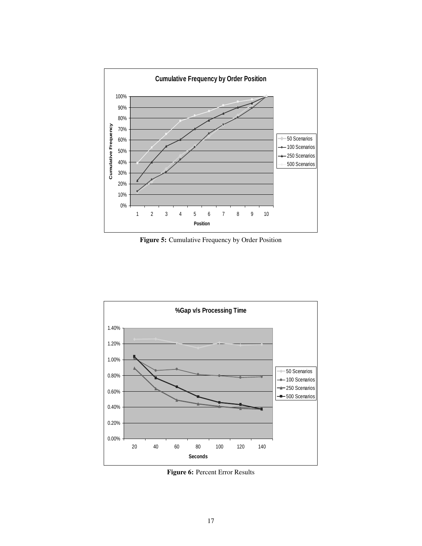

Figure 5: Cumulative Frequency by Order Position



Figure 6: Percent Error Results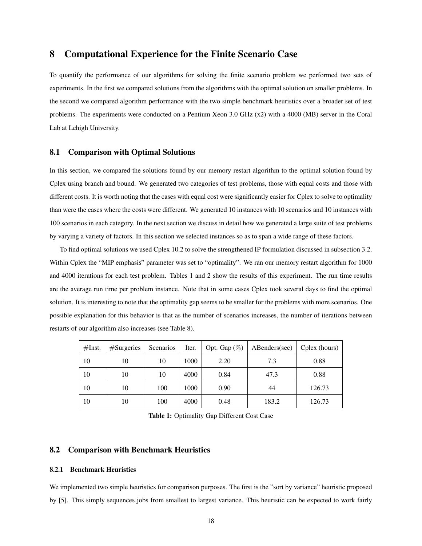# 8 Computational Experience for the Finite Scenario Case

To quantify the performance of our algorithms for solving the finite scenario problem we performed two sets of experiments. In the first we compared solutions from the algorithms with the optimal solution on smaller problems. In the second we compared algorithm performance with the two simple benchmark heuristics over a broader set of test problems. The experiments were conducted on a Pentium Xeon 3.0 GHz (x2) with a 4000 (MB) server in the Coral Lab at Lehigh University.

## 8.1 Comparison with Optimal Solutions

In this section, we compared the solutions found by our memory restart algorithm to the optimal solution found by Cplex using branch and bound. We generated two categories of test problems, those with equal costs and those with different costs. It is worth noting that the cases with equal cost were significantly easier for Cplex to solve to optimality than were the cases where the costs were different. We generated 10 instances with 10 scenarios and 10 instances with 100 scenarios in each category. In the next section we discuss in detail how we generated a large suite of test problems by varying a variety of factors. In this section we selected instances so as to span a wide range of these factors.

To find optimal solutions we used Cplex 10.2 to solve the strengthened IP formulation discussed in subsection 3.2. Within Cplex the "MIP emphasis" parameter was set to "optimality". We ran our memory restart algorithm for 1000 and 4000 iterations for each test problem. Tables 1 and 2 show the results of this experiment. The run time results are the average run time per problem instance. Note that in some cases Cplex took several days to find the optimal solution. It is interesting to note that the optimality gap seems to be smaller for the problems with more scenarios. One possible explanation for this behavior is that as the number of scenarios increases, the number of iterations between restarts of our algorithm also increases (see Table 8).

| #Inst. | $#S$ urgeries | Scenarios | Iter. | Opt. Gap $(\%)$ | ABenders(sec) | Cplex (hours) |
|--------|---------------|-----------|-------|-----------------|---------------|---------------|
| 10     | 10            | 10        | 1000  | 2.20            | 7.3           | 0.88          |
| 10     | 10            | 10        | 4000  | 0.84            | 47.3          | 0.88          |
| 10     | 10            | 100       | 1000  | 0.90            | 44            | 126.73        |
| 10     | 10            | 100       | 4000  | 0.48            | 183.2         | 126.73        |

Table 1: Optimality Gap Different Cost Case

## 8.2 Comparison with Benchmark Heuristics

## 8.2.1 Benchmark Heuristics

We implemented two simple heuristics for comparison purposes. The first is the "sort by variance" heuristic proposed by [5]. This simply sequences jobs from smallest to largest variance. This heuristic can be expected to work fairly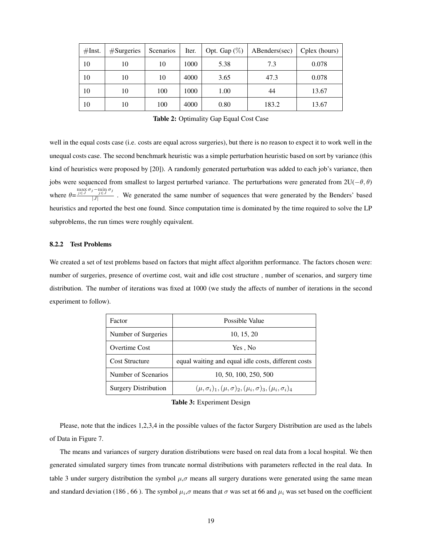| #Inst. | $#S$ urgeries | <b>Scenarios</b> | Iter. | Opt. Gap $(\%)$ | ABenders(sec) | Cplex (hours) |
|--------|---------------|------------------|-------|-----------------|---------------|---------------|
| 10     | 10            | 10               | 1000  | 5.38            | 7.3           | 0.078         |
| 10     | 10            | 10               | 4000  | 3.65            | 47.3          | 0.078         |
| 10     | 10            | 100              | 1000  | 1.00            | 44            | 13.67         |
| 10     | 10            | 100              | 4000  | 0.80            | 183.2         | 13.67         |

Table 2: Optimality Gap Equal Cost Case

well in the equal costs case (i.e. costs are equal across surgeries), but there is no reason to expect it to work well in the unequal costs case. The second benchmark heuristic was a simple perturbation heuristic based on sort by variance (this kind of heuristics were proposed by [20]). A randomly generated perturbation was added to each job's variance, then jobs were sequenced from smallest to largest perturbed variance. The perturbations were generated from  $2U(-\theta, \theta)$ where  $\theta = \frac{\max\limits_{j \in J} \sigma_j - \min\limits_{j \in J} \sigma_j}{|I|}$  $\frac{J\in J}{|J|}$ . We generated the same number of sequences that were generated by the Benders' based heuristics and reported the best one found. Since computation time is dominated by the time required to solve the LP subproblems, the run times were roughly equivalent.

### 8.2.2 Test Problems

We created a set of test problems based on factors that might affect algorithm performance. The factors chosen were: number of surgeries, presence of overtime cost, wait and idle cost structure , number of scenarios, and surgery time distribution. The number of iterations was fixed at 1000 (we study the affects of number of iterations in the second experiment to follow).

| Factor                      | Possible Value                                                               |
|-----------------------------|------------------------------------------------------------------------------|
| Number of Surgeries         | 10, 15, 20                                                                   |
| Overtime Cost               | Yes, No                                                                      |
| <b>Cost Structure</b>       | equal waiting and equal idle costs, different costs                          |
| Number of Scenarios         | 10, 50, 100, 250, 500                                                        |
| <b>Surgery Distribution</b> | $(\mu, \sigma_i)_1, (\mu, \sigma)_2, (\mu_i, \sigma)_3, (\mu_i, \sigma_i)_4$ |

Table 3: Experiment Design

Please, note that the indices 1,2,3,4 in the possible values of the factor Surgery Distribution are used as the labels of Data in Figure 7.

The means and variances of surgery duration distributions were based on real data from a local hospital. We then generated simulated surgery times from truncate normal distributions with parameters reflected in the real data. In table 3 under surgery distribution the symbol  $\mu$ , $\sigma$  means all surgery durations were generated using the same mean and standard deviation (186, 66). The symbol  $\mu_i, \sigma$  means that  $\sigma$  was set at 66 and  $\mu_i$  was set based on the coefficient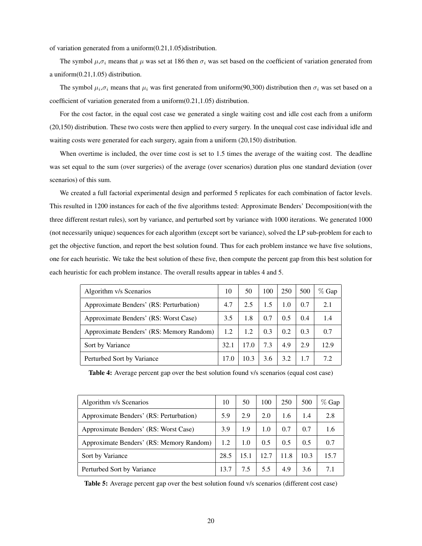of variation generated from a uniform(0.21,1.05)distribution.

The symbol  $\mu, \sigma_i$  means that  $\mu$  was set at 186 then  $\sigma_i$  was set based on the coefficient of variation generated from a uniform(0.21,1.05) distribution.

The symbol  $\mu_i$ , $\sigma_i$  means that  $\mu_i$  was first generated from uniform(90,300) distribution then  $\sigma_i$  was set based on a coefficient of variation generated from a uniform(0.21,1.05) distribution.

For the cost factor, in the equal cost case we generated a single waiting cost and idle cost each from a uniform (20,150) distribution. These two costs were then applied to every surgery. In the unequal cost case individual idle and waiting costs were generated for each surgery, again from a uniform (20,150) distribution.

When overtime is included, the over time cost is set to 1.5 times the average of the waiting cost. The deadline was set equal to the sum (over surgeries) of the average (over scenarios) duration plus one standard deviation (over scenarios) of this sum.

We created a full factorial experimental design and performed 5 replicates for each combination of factor levels. This resulted in 1200 instances for each of the five algorithms tested: Approximate Benders' Decomposition(with the three different restart rules), sort by variance, and perturbed sort by variance with 1000 iterations. We generated 1000 (not necessarily unique) sequences for each algorithm (except sort be variance), solved the LP sub-problem for each to get the objective function, and report the best solution found. Thus for each problem instance we have five solutions, one for each heuristic. We take the best solution of these five, then compute the percent gap from this best solution for each heuristic for each problem instance. The overall results appear in tables 4 and 5.

| Algorithm v/s Scenarios                  | 10   | 50   | 100 | 250 | 500 | $\%$ Gap |
|------------------------------------------|------|------|-----|-----|-----|----------|
| Approximate Benders' (RS: Perturbation)  | 4.7  | 2.5  | 1.5 | 1.0 | 0.7 | 2.1      |
| Approximate Benders' (RS: Worst Case)    | 3.5  | 1.8  | 0.7 | 0.5 | 0.4 | 1.4      |
| Approximate Benders' (RS: Memory Random) | 1.2  | 1.2  | 0.3 | 0.2 | 0.3 | 0.7      |
| Sort by Variance                         | 32.1 | 17.0 | 7.3 | 4.9 | 2.9 | 12.9     |
| Perturbed Sort by Variance               | 17.0 | 10.3 | 3.6 | 3.2 | 1.7 | 72       |

|  |  | Table 4: Average percent gap over the best solution found v/s scenarios (equal cost case) |
|--|--|-------------------------------------------------------------------------------------------|
|--|--|-------------------------------------------------------------------------------------------|

| Algorithm v/s Scenarios                  | 10   | 50   | 100  | 250  | 500  | $%$ Gap |
|------------------------------------------|------|------|------|------|------|---------|
| Approximate Benders' (RS: Perturbation)  | 5.9  | 2.9  | 2.0  | 1.6  | 1.4  | 2.8     |
| Approximate Benders' (RS: Worst Case)    | 3.9  | 1.9  | 1.0  | 0.7  | 0.7  | 1.6     |
| Approximate Benders' (RS: Memory Random) | 1.2  | 1.0  | 0.5  | 0.5  | 0.5  | 0.7     |
| Sort by Variance                         | 28.5 | 15.1 | 12.7 | 11.8 | 10.3 | 15.7    |
| Perturbed Sort by Variance               | 13.7 | 7.5  | 5.5  | 4.9  | 3.6  | 7.1     |

Table 5: Average percent gap over the best solution found v/s scenarios (different cost case)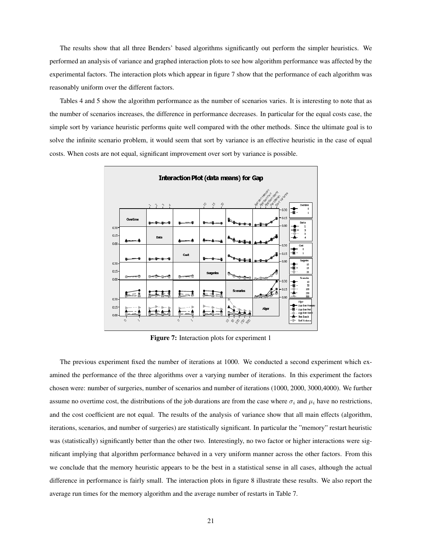The results show that all three Benders' based algorithms significantly out perform the simpler heuristics. We performed an analysis of variance and graphed interaction plots to see how algorithm performance was affected by the experimental factors. The interaction plots which appear in figure 7 show that the performance of each algorithm was reasonably uniform over the different factors.

Tables 4 and 5 show the algorithm performance as the number of scenarios varies. It is interesting to note that as the number of scenarios increases, the difference in performance decreases. In particular for the equal costs case, the simple sort by variance heuristic performs quite well compared with the other methods. Since the ultimate goal is to solve the infinite scenario problem, it would seem that sort by variance is an effective heuristic in the case of equal costs. When costs are not equal, significant improvement over sort by variance is possible.



Figure 7: Interaction plots for experiment 1

The previous experiment fixed the number of iterations at 1000. We conducted a second experiment which examined the performance of the three algorithms over a varying number of iterations. In this experiment the factors chosen were: number of surgeries, number of scenarios and number of iterations (1000, 2000, 3000,4000). We further assume no overtime cost, the distributions of the job durations are from the case where  $\sigma_i$  and  $\mu_i$  have no restrictions, and the cost coefficient are not equal. The results of the analysis of variance show that all main effects (algorithm, iterations, scenarios, and number of surgeries) are statistically significant. In particular the "memory" restart heuristic was (statistically) significantly better than the other two. Interestingly, no two factor or higher interactions were significant implying that algorithm performance behaved in a very uniform manner across the other factors. From this we conclude that the memory heuristic appears to be the best in a statistical sense in all cases, although the actual difference in performance is fairly small. The interaction plots in figure 8 illustrate these results. We also report the average run times for the memory algorithm and the average number of restarts in Table 7.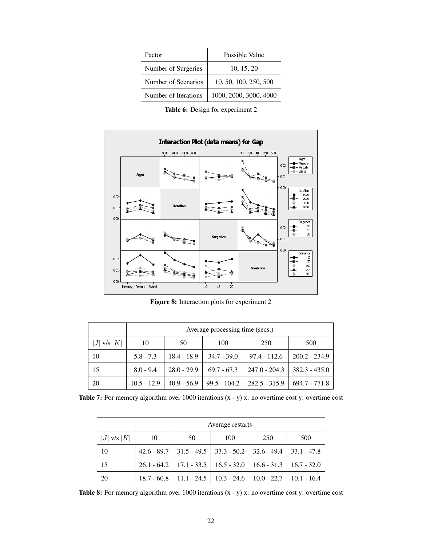| Factor               | Possible Value         |
|----------------------|------------------------|
| Number of Surgeries  | 10, 15, 20             |
| Number of Scenarios  | 10, 50, 100, 250, 500  |
| Number of Iterations | 1000, 2000, 3000, 4000 |

Table 6: Design for experiment 2



Figure 8: Interaction plots for experiment 2

|                 | Average processing time (secs.) |               |               |                 |                 |
|-----------------|---------------------------------|---------------|---------------|-----------------|-----------------|
| $ J $ v/s $ K $ | 10                              | 50            | 100           | 250             | 500             |
| 10              | $5.8 - 7.3$                     | $18.4 - 18.9$ | $34.7 - 39.0$ | $97.4 - 112.6$  | $200.2 - 234.9$ |
| 15              | $8.0 - 9.4$                     | $28.0 - 29.9$ | $69.7 - 67.3$ | $247.0 - 204.3$ | $382.3 - 435.0$ |
| 20              | $10.5 - 12.9$                   | $40.9 - 56.9$ | 99.5 - 104.2  | $282.5 - 315.9$ | $694.7 - 771.8$ |

Table 7: For memory algorithm over 1000 iterations  $(x - y)$  x: no overtime cost y: overtime cost

|                 | Average restarts |                                                                       |     |     |     |
|-----------------|------------------|-----------------------------------------------------------------------|-----|-----|-----|
| $ J $ v/s $ K $ | 10               | 50                                                                    | 100 | 250 | 500 |
| 10              |                  | $42.6 - 89.7$   31.5 - 49.5   33.3 - 50.2   32.6 - 49.4   33.1 - 47.8 |     |     |     |
| 15              |                  | $26.1 - 64.2$   17.1 - 33.5   16.5 - 32.0   16.6 - 31.3   16.7 - 32.0 |     |     |     |
| 20              |                  | $18.7 - 60.8$   11.1 - 24.5   10.3 - 24.6   10.0 - 22.7   10.1 - 16.4 |     |     |     |

**Table 8:** For memory algorithm over 1000 iterations  $(x - y)$  x: no overtime cost y: overtime cost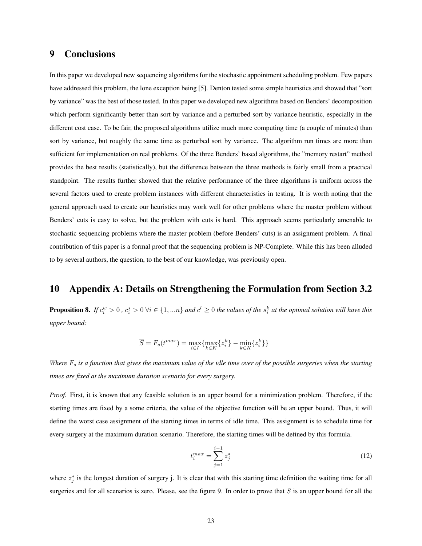# 9 Conclusions

In this paper we developed new sequencing algorithms for the stochastic appointment scheduling problem. Few papers have addressed this problem, the lone exception being [5]. Denton tested some simple heuristics and showed that "sort by variance" was the best of those tested. In this paper we developed new algorithms based on Benders' decomposition which perform significantly better than sort by variance and a perturbed sort by variance heuristic, especially in the different cost case. To be fair, the proposed algorithms utilize much more computing time (a couple of minutes) than sort by variance, but roughly the same time as perturbed sort by variance. The algorithm run times are more than sufficient for implementation on real problems. Of the three Benders' based algorithms, the "memory restart" method provides the best results (statistically), but the difference between the three methods is fairly small from a practical standpoint. The results further showed that the relative performance of the three algorithms is uniform across the several factors used to create problem instances with different characteristics in testing. It is worth noting that the general approach used to create our heuristics may work well for other problems where the master problem without Benders' cuts is easy to solve, but the problem with cuts is hard. This approach seems particularly amenable to stochastic sequencing problems where the master problem (before Benders' cuts) is an assignment problem. A final contribution of this paper is a formal proof that the sequencing problem is NP-Complete. While this has been alluded to by several authors, the question, to the best of our knowledge, was previously open.

# 10 Appendix A: Details on Strengthening the Formulation from Section 3.2

**Proposition 8.** If  $c_i^w > 0$  ,  $c_i^s > 0$   $\forall i \in \{1, ...n\}$  and  $c^l \geq 0$  the values of the  $s_i^k$  at the optimal solution will have this *upper bound:*

$$
\overline{S} = F_s(t^{max}) = \max_{i \in I} \{ \max_{k \in K} \{ z_i^k \} - \min_{k \in K} \{ z_i^k \} \}
$$

*Where*  $F_s$  *is a function that gives the maximum value of the idle time over of the possible surgeries when the starting times are fixed at the maximum duration scenario for every surgery.*

*Proof.* First, it is known that any feasible solution is an upper bound for a minimization problem. Therefore, if the starting times are fixed by a some criteria, the value of the objective function will be an upper bound. Thus, it will define the worst case assignment of the starting times in terms of idle time. This assignment is to schedule time for every surgery at the maximum duration scenario. Therefore, the starting times will be defined by this formula.

$$
t_i^{max} = \sum_{j=1}^{i-1} z_j^*
$$
 (12)

where  $z_j^*$  is the longest duration of surgery j. It is clear that with this starting time definition the waiting time for all surgeries and for all scenarios is zero. Please, see the figure 9. In order to prove that  $\overline{S}$  is an upper bound for all the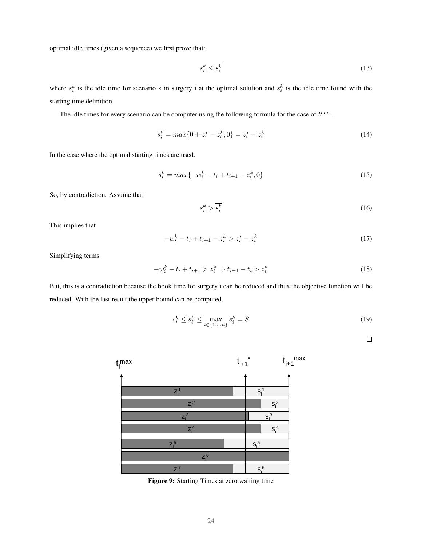optimal idle times (given a sequence) we first prove that:

$$
s_i^k \le \overline{s_i^k} \tag{13}
$$

where  $s_i^k$  is the idle time for scenario k in surgery i at the optimal solution and  $s_i^k$  is the idle time found with the starting time definition.

The idle times for every scenario can be computer using the following formula for the case of  $t^{max}$ .

$$
\overline{s_i^k} = \max\{0 + z_i^* - z_i^k, 0\} = z_i^* - z_i^k \tag{14}
$$

In the case where the optimal starting times are used.

$$
s_i^k = max\{-w_i^k - t_i + t_{i+1} - z_i^k, 0\}
$$
\n(15)

So, by contradiction. Assume that

$$
s_i^k > \overline{s_i^k} \tag{16}
$$

This implies that

$$
-w_i^k - t_i + t_{i+1} - z_i^k > z_i^* - z_i^k \tag{17}
$$

Simplifying terms

$$
-w_i^k - t_i + t_{i+1} > z_i^* \Rightarrow t_{i+1} - t_i > z_i^* \tag{18}
$$

But, this is a contradiction because the book time for surgery i can be reduced and thus the objective function will be reduced. With the last result the upper bound can be computed.

$$
s_i^k \le \overline{s_i^k} \le \max_{i \in \{1, \dots, n\}} \overline{s_i^k} = \overline{S}
$$
 (19)

 $\Box$ 



Figure 9: Starting Times at zero waiting time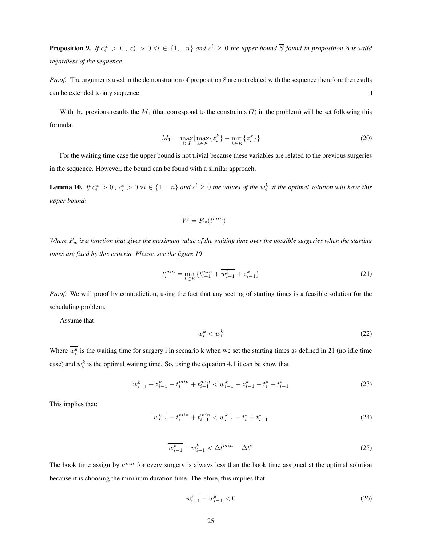**Proposition 9.** If  $c_i^w > 0$  ,  $c_i^s > 0$   $\forall i \in \{1,...n\}$  and  $c^l \geq 0$  the upper bound  $\overline{S}$  found in proposition 8 is valid *regardless of the sequence.*

*Proof.* The arguments used in the demonstration of proposition 8 are not related with the sequence therefore the results can be extended to any sequence.  $\Box$ 

With the previous results the  $M_1$  (that correspond to the constraints (7) in the problem) will be set following this formula.

$$
M_1 = \max_{i \in I} \{ \max_{k \in K} \{ z_i^k \} - \min_{k \in K} \{ z_i^k \} \}
$$
(20)

For the waiting time case the upper bound is not trivial because these variables are related to the previous surgeries in the sequence. However, the bound can be found with a similar approach.

**Lemma 10.** If  $c_i^w > 0$  ,  $c_i^s > 0$   $\forall i \in \{1,...n\}$  and  $c^l \geq 0$  the values of the  $w_i^k$  at the optimal solution will have this *upper bound:*

$$
\overline{W} = F_w(t^{min})
$$

*Where*  $F_w$  *is a function that gives the maximum value of the waiting time over the possible surgeries when the starting times are fixed by this criteria. Please, see the figure 10*

$$
t_i^{min} = \min_{k \in K} \{ t_{i-1}^{min} + \overline{w_{i-1}^k} + z_{i-1}^k \}
$$
 (21)

*Proof.* We will proof by contradiction, using the fact that any seeting of starting times is a feasible solution for the scheduling problem.

Assume that:

$$
\overline{w_i^k} < w_i^k \tag{22}
$$

Where  $w_i^k$  is the waiting time for surgery i in scenario k when we set the starting times as defined in 21 (no idle time case) and  $w_i^k$  is the optimal waiting time. So, using the equation 4.1 it can be show that

$$
\overline{w_{i-1}^k} + z_{i-1}^k - t_i^{min} + t_{i-1}^{min} < w_{i-1}^k + z_{i-1}^k - t_i^* + t_{i-1}^* \tag{23}
$$

This implies that:

$$
\overline{w_{i-1}^k} - t_i^{min} + t_{i-1}^{min} < w_{i-1}^k - t_i^* + t_{i-1}^* \tag{24}
$$

$$
\overline{w_{i-1}^k} - w_{i-1}^k < \Delta t^{min} - \Delta t^* \tag{25}
$$

The book time assign by  $t^{min}$  for every surgery is always less than the book time assigned at the optimal solution because it is choosing the minimum duration time. Therefore, this implies that

$$
\overline{w_{i-1}^k} - w_{i-1}^k < 0 \tag{26}
$$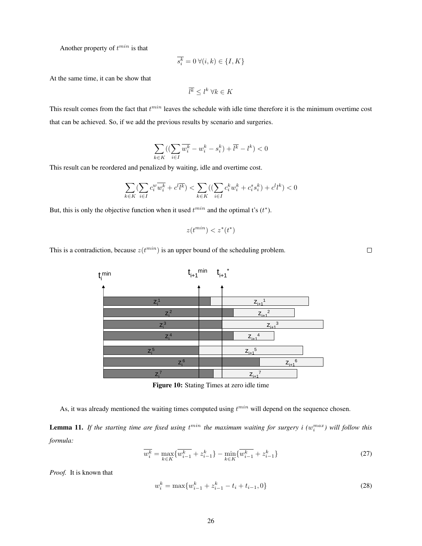Another property of  $t^{min}$  is that

$$
\overline{s_i^k} = 0 \,\forall (i, k) \in \{I, K\}
$$

At the same time, it can be show that

$$
\overline{l^k} \leq l^k \; \forall k \in K
$$

This result comes from the fact that  $t^{min}$  leaves the schedule with idle time therefore it is the minimum overtime cost that can be achieved. So, if we add the previous results by scenario and surgeries.

$$
\sum_{k\in K} \bigl( (\sum_{i\in I} \overline{w_i^k}-w_i^k-s_i^k)+\overline{l^k}-l^k\bigr)<0
$$

This result can be reordered and penalized by waiting, idle and overtime cost.

$$
\sum_{k \in K} (\sum_{i \in I} c_i^w \overline{w_i^k} + c^l \overline{l^k}) < \sum_{k \in K} ((\sum_{i \in I} c_i^k w_i^k + c_i^s s_i^k) + c^l l^k) < 0
$$

But, this is only the objective function when it used  $t^{min}$  and the optimal t's  $(t^*)$ .

$$
z(t^{min}) < z^*(t^*)
$$

This is a contradiction, because  $z(t^{min})$  is an upper bound of the scheduling problem.



Figure 10: Stating Times at zero idle time

As, it was already mentioned the waiting times computed using  $t^{min}$  will depend on the sequence chosen.

**Lemma 11.** If the starting time are fixed using  $t^{min}$  the maximum waiting for surgery i  $(w_i^{max})$  will follow this *formula:*

$$
\overline{w_i^k} = \max_{k \in K} \{ \overline{w_{i-1}^k} + z_{i-1}^k \} - \min_{k \in K} \{ \overline{w_{i-1}^k} + z_{i-1}^k \}
$$
(27)

*Proof.* It is known that

$$
w_i^k = \max\{w_{i-1}^k + z_{i-1}^k - t_i + t_{i-1}, 0\}
$$
\n(28)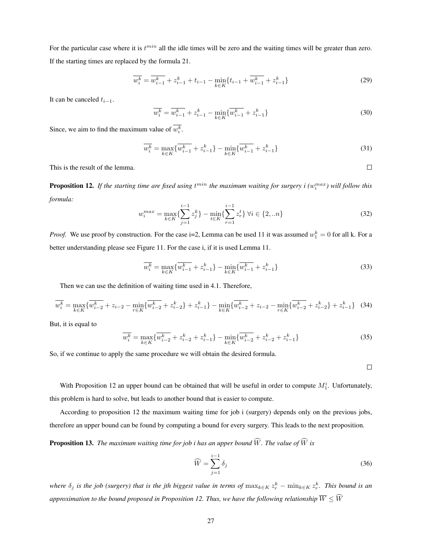For the particular case where it is  $t^{min}$  all the idle times will be zero and the waiting times will be greater than zero. If the starting times are replaced by the formula 21.

$$
\overline{w_i^k} = \overline{w_{i-1}^k} + z_{i-1}^k + t_{i-1} - \min_{k \in K} \{ t_{i-1} + \overline{w_{i-1}^k} + z_{i-1}^k \}
$$
(29)

It can be canceled  $t_{i-1}$ .

$$
\overline{w_i^k} = \overline{w_{i-1}^k} + z_{i-1}^k - \min_{k \in K} \{ \overline{w_{i-1}^k} + z_{i-1}^k \}
$$
\n(30)

Since, we aim to find the maximum value of  $w_i^k$ .

$$
\overline{w_i^k} = \max_{k \in K} \{ \overline{w_{i-1}^k} + z_{i-1}^k \} - \min_{k \in K} \{ \overline{w_{i-1}^k} + z_{i-1}^k \}
$$
(31)

This is the result of the lemma.

**Proposition 12.** If the starting time are fixed using  $t^{min}$  the maximum waiting for surgery i  $(w_i^{max})$  will follow this *formula:*

$$
w_i^{max} = \max_{k \in K} \{ \sum_{j=1}^{i-1} z_j^k \} - \min_{t \in K} \{ \sum_{r=1}^{i-1} z_r^t \} \ \forall i \in \{2, \ldots n\}
$$
 (32)

*Proof.* We use proof by construction. For the case i=2, Lemma can be used 11 it was assumed  $w_1^k = 0$  for all k. For a better understanding please see Figure 11. For the case i, if it is used Lemma 11.

$$
\overline{w_i^k} = \max_{k \in K} \{ \overline{w_{i-1}^k} + z_{i-1}^k \} - \min_{k \in K} \{ \overline{w_{i-1}^k} + z_{i-1}^k \}
$$
(33)

Then we can use the definition of waiting time used in 4.1. Therefore,

$$
\overline{w_i^k} = \max_{k \in K} \{ \overline{w_{i-2}^k} + z_{i-2} - \min_{r \in K} \{ \overline{w_{i-2}^k} + z_{i-2}^k \} + z_{i-1}^k \} - \min_{k \in K} \{ \overline{w_{i-2}^k} + z_{i-2} - \min_{r \in K} \{ \overline{w_{i-2}^k} + z_{i-2}^k \} + z_{i-1}^k \} \tag{34}
$$

But, it is equal to

$$
\overline{w_i^k} = \max_{k \in K} \{ \overline{w_{i-2}^k} + z_{i-2}^k + z_{i-1}^k \} - \min_{k \in K} \{ \overline{w_{i-2}^k} + z_{i-2}^k + z_{i-1}^k \}
$$
(35)

So, if we continue to apply the same procedure we will obtain the desired formula.

 $\Box$ 

 $\Box$ 

With Proposition 12 an upper bound can be obtained that will be useful in order to compute  $M_1^i$ . Unfortunately, this problem is hard to solve, but leads to another bound that is easier to compute.

According to proposition 12 the maximum waiting time for job i (surgery) depends only on the previous jobs, therefore an upper bound can be found by computing a bound for every surgery. This leads to the next proposition.

**Proposition 13.** *The maximum waiting time for job i has an upper bound*  $\widehat{W}$ *. The value of*  $\widehat{W}$  *is* 

$$
\widehat{W} = \sum_{j=1}^{i-1} \delta_j \tag{36}
$$

where  $\delta_j$  is the job (surgery) that is the jth biggest value in terms of  $\max_{k \in K} z_r^k - \min_{k \in K} z_r^k$ . This bound is an *approximation to the bound proposed in Proposition 12. Thus, we have the following relationship*  $\overline{W} \leq \widehat{W}$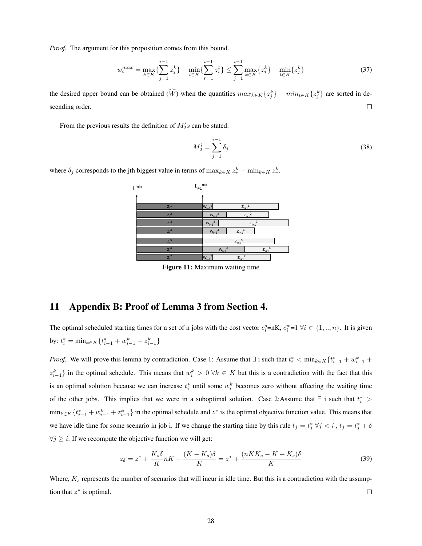*Proof.* The argument for this proposition comes from this bound.

$$
w_i^{max} = \max_{k \in K} \{ \sum_{j=1}^{i-1} z_j^k \} - \min_{t \in K} \{ \sum_{r=1}^{i-1} z_r^t \} \le \sum_{j=1}^{i-1} \max_{k \in K} \{ z_j^k \} - \min_{t \in K} \{ z_j^k \}
$$
(37)

the desired upper bound can be obtained  $(\tilde{W})$  when the quantities  $max_{k \in K} \{z_j^k\} - min_{t \in K} \{z_j^k\}$  are sorted in descending order.  $\Box$ 

From the previous results the definition of  $M_2$ 's can be stated.

$$
M_2^i = \sum_{j=1}^{i-1} \delta_j \tag{38}
$$

where  $\delta_j$  corresponds to the jth biggest value in terms of  $\max_{k \in K} z_r^k - \min_{k \in K} z_r^k$ .



Figure 11: Maximum waiting time

# 11 Appendix B: Proof of Lemma 3 from Section 4.

The optimal scheduled starting times for a set of n jobs with the cost vector  $c_i^s = nK$ ,  $c_i^w = 1 \ \forall i \in \{1, ..., n\}$ . It is given by:  $t_i^* = \min_{k \in K} \{ t_{i-1}^* + w_{i-1}^k + z_{i-1}^k \}$ 

*Proof.* We will prove this lemma by contradiction. Case 1: Assume that  $\exists$  i such that  $t_i^* < \min_{k \in K} \{t_{i-1}^* + w_{i-1}^k + \min_{k \in K} w_{i-1}^k\}$  $z_{i-1}^k$  in the optimal schedule. This means that  $w_i^k > 0$   $\forall k \in K$  but this is a contradiction with the fact that this is an optimal solution because we can increase  $t_i^*$  until some  $w_i^k$  becomes zero without affecting the waiting time of the other jobs. This implies that we were in a suboptimal solution. Case 2:Assume that  $\exists$  i such that  $t_i^*$  >  $\min_{k \in K} \{t_{i-1}^* + w_{i-1}^k + z_{i-1}^k\}$  in the optimal schedule and  $z^*$  is the optimal objective function value. This means that we have idle time for some scenario in job i. If we change the starting time by this rule  $t_j = t_j^* \forall j \leq i$ ,  $t_j = t_j^* + \delta$  $\forall j \geq i$ . If we recompute the objective function we will get:

$$
z_{\delta} = z^* + \frac{K_s \delta}{K} nK - \frac{(K - K_s)\delta}{K} = z^* + \frac{(nKK_s - K + K_s)\delta}{K}
$$
\n<sup>(39)</sup>

Where,  $K_s$  represents the number of scenarios that will incur in idle time. But this is a contradiction with the assumption that  $z^*$  is optimal.  $\Box$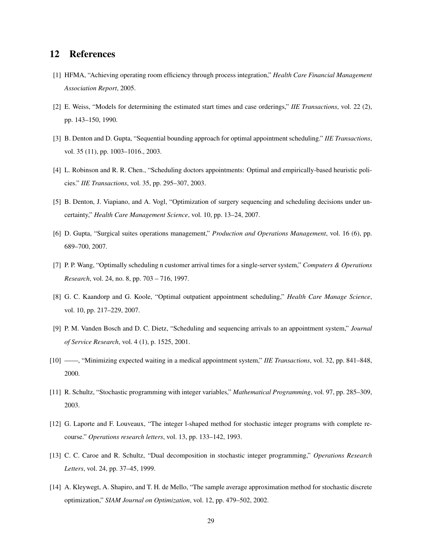# 12 References

- [1] HFMA, "Achieving operating room efficiency through process integration," *Health Care Financial Management Association Report*, 2005.
- [2] E. Weiss, "Models for determining the estimated start times and case orderings," *IIE Transactions*, vol. 22 (2), pp. 143–150, 1990.
- [3] B. Denton and D. Gupta, "Sequential bounding approach for optimal appointment scheduling." *IIE Transactions*, vol. 35 (11), pp. 1003–1016., 2003.
- [4] L. Robinson and R. R. Chen., "Scheduling doctors appointments: Optimal and empirically-based heuristic policies." *IIE Transactions*, vol. 35, pp. 295–307, 2003.
- [5] B. Denton, J. Viapiano, and A. Vogl, "Optimization of surgery sequencing and scheduling decisions under uncertainty," *Health Care Management Science*, vol. 10, pp. 13–24, 2007.
- [6] D. Gupta, "Surgical suites operations management," *Production and Operations Management*, vol. 16 (6), pp. 689–700, 2007.
- [7] P. P. Wang, "Optimally scheduling n customer arrival times for a single-server system," *Computers & Operations Research*, vol. 24, no. 8, pp. 703 – 716, 1997.
- [8] G. C. Kaandorp and G. Koole, "Optimal outpatient appointment scheduling," *Health Care Manage Science*, vol. 10, pp. 217–229, 2007.
- [9] P. M. Vanden Bosch and D. C. Dietz, "Scheduling and sequencing arrivals to an appointment system," *Journal of Service Research*, vol. 4 (1), p. 1525, 2001.
- [10] ——, "Minimizing expected waiting in a medical appointment system," *IIE Transactions*, vol. 32, pp. 841–848, 2000.
- [11] R. Schultz, "Stochastic programming with integer variables," *Mathematical Programming*, vol. 97, pp. 285–309, 2003.
- [12] G. Laporte and F. Louveaux, "The integer l-shaped method for stochastic integer programs with complete recourse." *Operations research letters*, vol. 13, pp. 133–142, 1993.
- [13] C. C. Caroe and R. Schultz, "Dual decomposition in stochastic integer programming," *Operations Research Letters*, vol. 24, pp. 37–45, 1999.
- [14] A. Kleywegt, A. Shapiro, and T. H. de Mello, "The sample average approximation method for stochastic discrete optimization," *SIAM Journal on Optimization*, vol. 12, pp. 479–502, 2002.